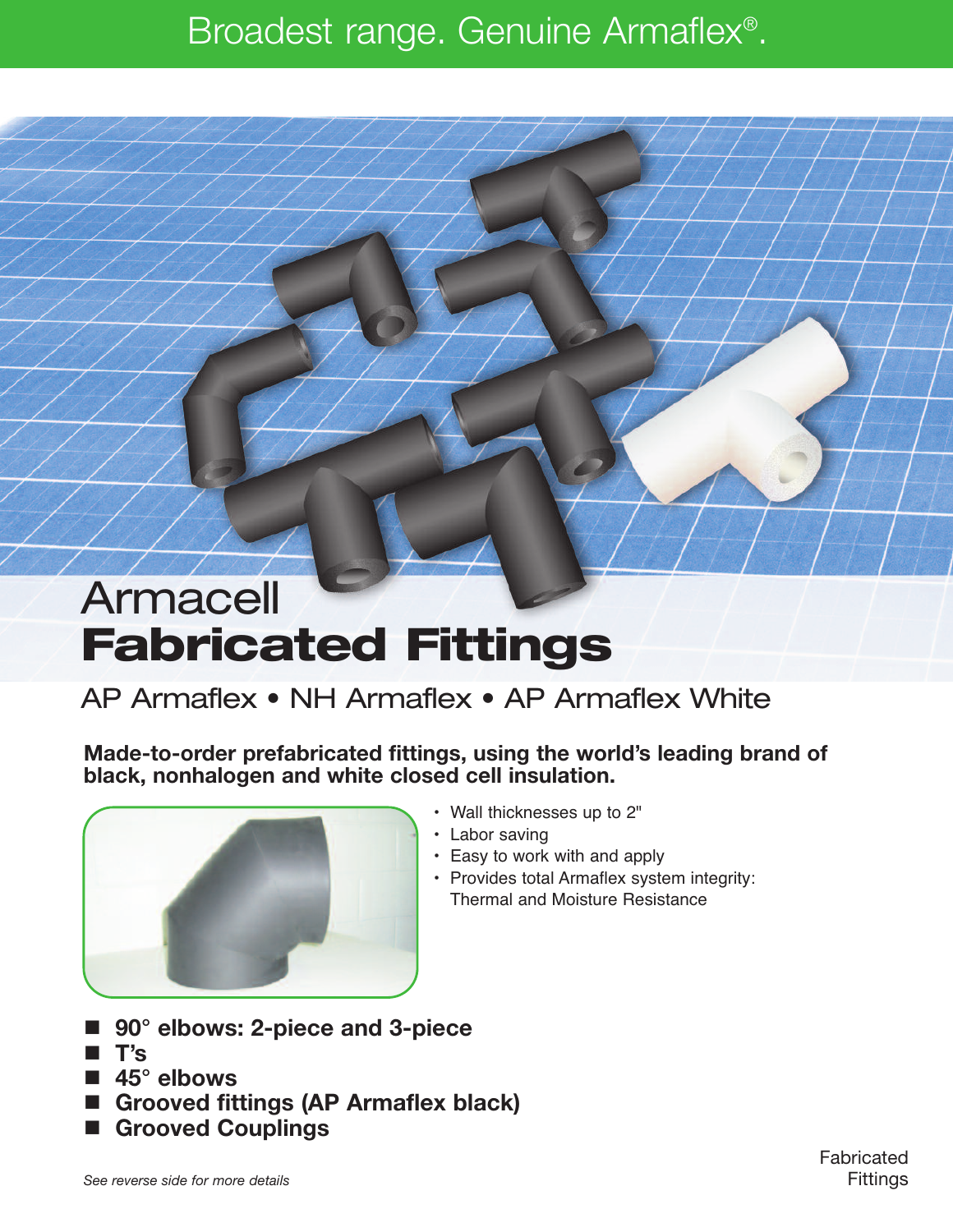# Broadest range. Genuine Armaflex®.

# Armacell **Fabricated Fittings**

## AP Armaflex • NH Armaflex • AP Armaflex White

**Made-to-order prefabricated fittings, using the world's leading brand of black, nonhalogen and white closed cell insulation.**



- Wall thicknesses up to 2"
- Labor saving
- Easy to work with and apply
- Provides total Armaflex system integrity: Thermal and Moisture Resistance
- **90° elbows: 2-piece and 3-piece**
- **T's**
- **45° elbows**
- **Grooved fittings (AP Armaflex black)**
- **Grooved Couplings**

Fabricated **Fittings**